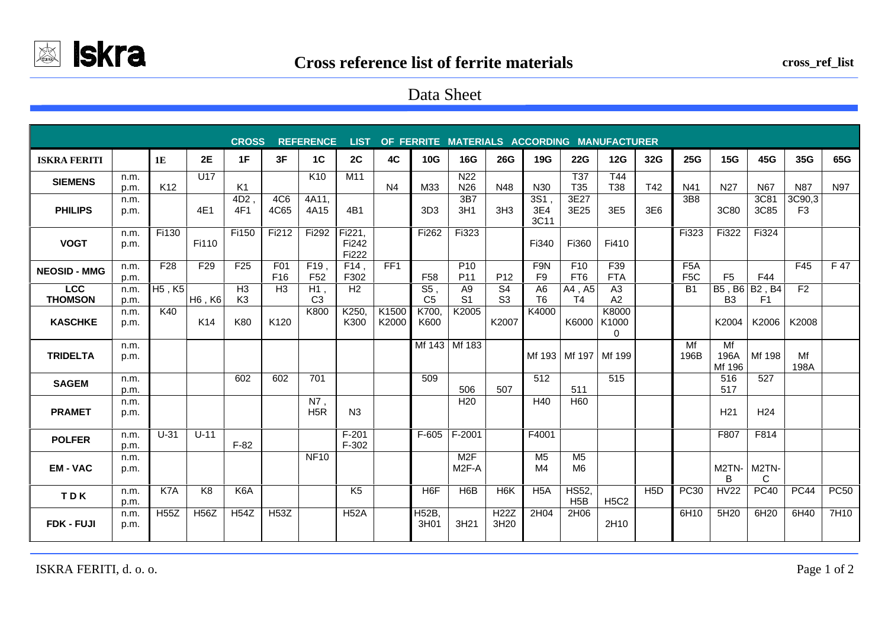

## Data Sheet

| <b>CROSS</b><br><b>REFERENCE</b><br><b>LIST</b><br>OF FERRITE MATERIALS ACCORDING MANUFACTURER |              |                                 |                 |                                  |                                    |                         |                          |                |                          |                                    |                                  |                                  |                                  |                      |                  |                                      |                          |                                 |                          |             |
|------------------------------------------------------------------------------------------------|--------------|---------------------------------|-----------------|----------------------------------|------------------------------------|-------------------------|--------------------------|----------------|--------------------------|------------------------------------|----------------------------------|----------------------------------|----------------------------------|----------------------|------------------|--------------------------------------|--------------------------|---------------------------------|--------------------------|-------------|
| <b>ISKRA FERITI</b>                                                                            |              | 1E                              | <b>2E</b>       | 1F                               | 3F                                 | 1 <sup>C</sup>          | 2C                       | 4C             | 10G                      | 16G                                | <b>26G</b>                       | 19G                              | <b>22G</b>                       | 12G                  | 32G              | 25G                                  | 15G                      | 45G                             | 35G                      | 65G         |
| <b>SIEMENS</b>                                                                                 | n.m.<br>p.m. | K <sub>12</sub>                 | U <sub>17</sub> | K1                               |                                    | K <sub>10</sub>         | M11                      | N <sub>4</sub> | M33                      | N <sub>22</sub><br>N <sub>26</sub> | N48                              | N30                              | T37<br>T <sub>35</sub>           | T44<br>T38           | T42              | N41                                  | N <sub>27</sub>          | N67                             | <b>N87</b>               | N97         |
| <b>PHILIPS</b>                                                                                 | n.m.<br>p.m. |                                 | 4E1             | 4D <sub>2</sub> ,<br>4F1         | 4C <sub>6</sub><br>4C65            | 4A11,<br>4A15           | 4B1                      |                | 3D <sub>3</sub>          | 3B7<br>3H1                         | 3H <sub>3</sub>                  | 3S1,<br>3E4<br>3C11              | 3E27<br>3E25                     | 3E <sub>5</sub>      | 3E6              | 3B8                                  | 3C80                     | 3C81<br>3C85                    | 3C90,3<br>F <sub>3</sub> |             |
| <b>VOGT</b>                                                                                    | n.m.<br>p.m. | Fi130                           | Fi110           | Fi150                            | Fi212                              | Fi292                   | Fi221,<br>Fi242<br>Fi222 |                | Fi262                    | Fi323                              |                                  | Fi340                            | Fi360                            | Fi410                |                  | Fi323                                | Fi322                    | Fi324                           |                          |             |
| <b>NEOSID - MMG</b>                                                                            | n.m.<br>p.m. | F <sub>28</sub>                 | F <sub>29</sub> | F <sub>25</sub>                  | F <sub>01</sub><br>F <sub>16</sub> | F19,<br>F <sub>52</sub> | $F14$ ,<br>F302          | FF1            | F <sub>58</sub>          | P <sub>10</sub><br>P11             | P <sub>12</sub>                  | F9N<br>F <sub>9</sub>            | F <sub>10</sub><br>FT6           | F39<br><b>FTA</b>    |                  | F <sub>5</sub> A<br>F <sub>5</sub> C | F <sub>5</sub>           | F44                             | F45                      | F 47        |
| <b>LCC</b><br><b>THOMSON</b>                                                                   | n.m.<br>p.m. | H <sub>5</sub> , K <sub>5</sub> | H6, K6          | H <sub>3</sub><br>K <sub>3</sub> | H <sub>3</sub>                     | H1,<br>C <sub>3</sub>   | H <sub>2</sub>           |                | S5,<br>C <sub>5</sub>    | A <sub>9</sub><br>S <sub>1</sub>   | S <sub>4</sub><br>S <sub>3</sub> | A <sub>6</sub><br>T <sub>6</sub> | A4, A5<br>T4                     | A <sub>3</sub><br>A2 |                  | <b>B1</b>                            | B5, B6<br>B <sub>3</sub> | <b>B2, B4</b><br>F <sub>1</sub> | F <sub>2</sub>           |             |
| <b>KASCHKE</b>                                                                                 | n.m.<br>p.m. | K40                             | K14             | K80                              | K120                               | K800                    | K250,<br>K300            | K1500<br>K2000 | K700,<br>K600            | K2005                              | K2007                            | K4000                            | K6000 K1000                      | K8000<br>$\Omega$    |                  |                                      | K2004                    | K2006                           | K2008                    |             |
| <b>TRIDELTA</b>                                                                                | n.m.<br>p.m. |                                 |                 |                                  |                                    |                         |                          |                |                          | Mf 143 Mf 183                      |                                  |                                  | Mf 193 Mf 197                    | Mf 199               |                  | Mf<br>196B                           | Mf<br>196A<br>Mf 196     | Mf 198                          | Mf<br>198A               |             |
| <b>SAGEM</b>                                                                                   | n.m.<br>p.m. |                                 |                 | 602                              | 602                                | 701                     |                          |                | 509                      | 506                                | 507                              | 512                              | 511                              | 515                  |                  |                                      | 516<br>517               | 527                             |                          |             |
| <b>PRAMET</b>                                                                                  | n.m.<br>p.m. |                                 |                 |                                  |                                    | N7,<br>H <sub>5</sub> R | N <sub>3</sub>           |                |                          | H <sub>20</sub>                    |                                  | H40                              | H <sub>60</sub>                  |                      |                  |                                      | H <sub>21</sub>          | H <sub>24</sub>                 |                          |             |
| <b>POLFER</b>                                                                                  | n.m.<br>p.m. | $U-31$                          | $U-11$          | $F-82$                           |                                    |                         | $F-201$<br>$F-302$       |                |                          | F-605   F-2001                     |                                  | F4001                            |                                  |                      |                  |                                      | F807                     | F814                            |                          |             |
| <b>EM-VAC</b>                                                                                  | n.m.<br>p.m. |                                 |                 |                                  |                                    | <b>NF10</b>             |                          |                |                          | M <sub>2</sub> F<br>$M2F-A$        |                                  | M <sub>5</sub><br>M <sub>4</sub> | M <sub>5</sub><br>M <sub>6</sub> |                      |                  |                                      | M2TN-<br>B               | M2TN-<br>C                      |                          |             |
| TDK                                                                                            | n.m.<br>p.m. | K7A                             | K8              | K6A                              |                                    |                         | K <sub>5</sub>           |                | H <sub>6</sub> F         | H6B                                | H <sub>6</sub> K                 | H <sub>5</sub> A                 | <b>HS52,</b><br>H <sub>5</sub> B | <b>H5C2</b>          | H <sub>5</sub> D | <b>PC30</b>                          | <b>HV22</b>              | PC40                            | <b>PC44</b>              | <b>PC50</b> |
| <b>FDK - FUJI</b>                                                                              | n.m.<br>p.m. | <b>H55Z</b>                     | <b>H56Z</b>     | <b>H54Z</b>                      | <b>H53Z</b>                        |                         | <b>H52A</b>              |                | H <sub>52B</sub><br>3H01 | 3H21                               | <b>H22Z</b><br>3H20              | 2H04                             | 2H06                             | 2H10                 |                  | 6H10                                 | 5H20                     | 6H20                            | 6H40                     | 7H10        |